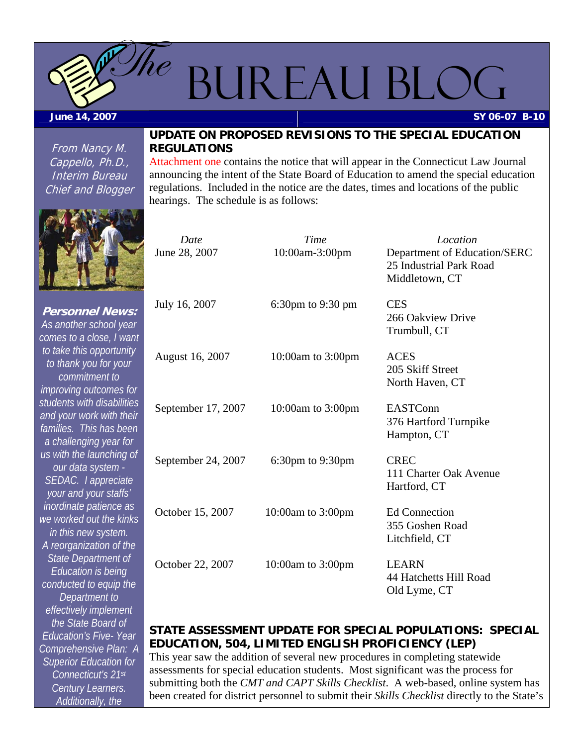<span id="page-0-0"></span>

# BUREAU BLOG

**June 14, 2007** 

From Nancy M. Cappello, Ph.D., Interim Bureau Chief and Blogger



[Attachment one c](#page-4-0)ontains the notice that will appear in the Connecticut Law Journal announcing the intent of the State Board of Education to amend the special education regulations. Included in the notice are the dates, times and locations of the public hearings. The schedule is as follows:



**Personnel News:**  *As another school year comes to a close, I want to take this opportunity to thank you for your commitment to improving outcomes for students with disabilities and your work with their families. This has been a challenging year for us with the launching of our data system - SEDAC. I appreciate your and your staffs' inordinate patience as we worked out the kinks in this new system. A reorganization of the State Department of Education is being conducted to equip the Department to effectively implement the State Board of Education's Five- Year Comprehensive Plan: A Superior Education for Connecticut's 21st Century Learners. Additionally, the* 

| Date<br>June 28, 2007 | Time<br>10:00am-3:00pm | Location<br>Department of Education/SERC<br>25 Industrial Park Road<br>Middletown, CT |
|-----------------------|------------------------|---------------------------------------------------------------------------------------|
| July 16, 2007         | 6:30pm to 9:30 pm      | <b>CES</b><br>266 Oakview Drive<br>Trumbull, CT                                       |
| August 16, 2007       | 10:00am to 3:00pm      | <b>ACES</b><br>205 Skiff Street<br>North Haven, CT                                    |
| September 17, 2007    | 10:00am to 3:00pm      | EASTConn<br>376 Hartford Turnpike<br>Hampton, CT                                      |
| September 24, 2007    | $6:30$ pm to $9:30$ pm | <b>CREC</b><br>111 Charter Oak Avenue<br>Hartford, CT                                 |
| October 15, 2007      | 10:00am to 3:00pm      | <b>Ed Connection</b><br>355 Goshen Road<br>Litchfield, CT                             |
| October 22, 2007      | 10:00am to $3:00$ pm   | <b>LEARN</b><br>44 Hatchetts Hill Road<br>Old Lyme, CT                                |

#### **STATE ASSESSMENT UPDATE FOR SPECIAL POPULATIONS: SPECIAL EDUCATION, 504, LIMITED ENGLISH PROFICIENCY (LEP)**

This year saw the addition of several new procedures in completing statewide assessments for special education students. Most significant was the process for submitting both the *CMT and CAPT Skills Checklist*. A web-based, online system has been created for district personnel to submit their *Skills Checklist* directly to the State's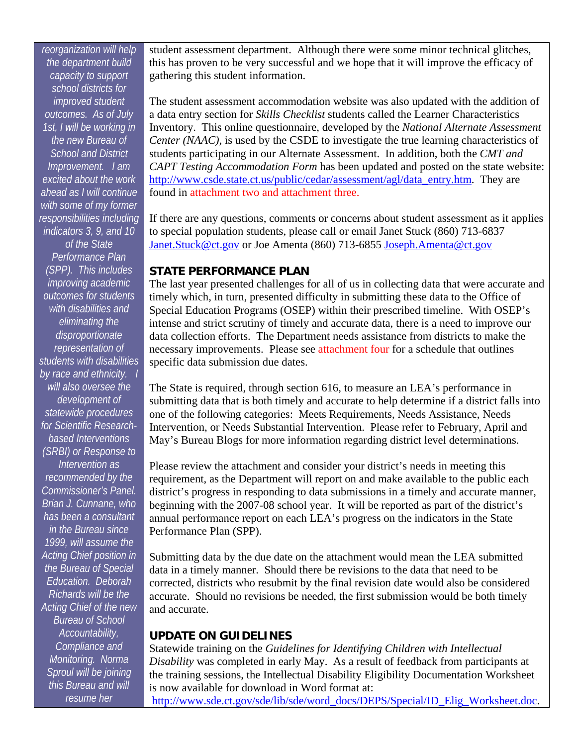<span id="page-1-0"></span>*reorganization will help the department build capacity to support school districts for improved student outcomes. As of July 1st, I will be working in the new Bureau of School and District Improvement. I am excited about the work ahead as I will continue with some of my former responsibilities including indicators 3, 9, and 10 of the State Performance Plan (SPP). This includes improving academic outcomes for students with disabilities and eliminating the disproportionate representation of students with disabilities by race and ethnicity. I will also oversee the development of statewide procedures for Scientific Researchbased Interventions (SRBI) or Response to Intervention as recommended by the Commissioner's Panel. Brian J. Cunnane, who has been a consultant in the Bureau since 1999, will assume the Acting Chief position in the Bureau of Special Education. Deborah Richards will be the Acting Chief of the new Bureau of School Accountability, Compliance and Monitoring. Norma Sproul will be joining this Bureau and will resume her* 

student assessment department. Although there were some minor technical glitches, this has proven to be very successful and we hope that it will improve the efficacy of gathering this student information.

The student assessment accommodation website was also updated with the addition of a data entry section for *Skills Checklist* students called the Learner Characteristics Inventory. This online questionnaire, developed by the *National Alternate Assessment Center (NAAC)*, is used by the CSDE to investigate the true learning characteristics of students participating in our Alternate Assessment. In addition, both the *CMT and CAPT Testing Accommodation Form* has been updated and posted on the state website: [http://www.csde.state.ct.us/public/cedar/assessment/agl/data\\_entry.htm.](http://www.csde.state.ct.us/public/cedar/assessment/agl/data_entry.htm) They are found in [attachment two a](#page-6-0)nd [attachment three.](#page-7-0) 

If there are any questions, comments or concerns about student assessment as it applies to special population students, please call or email Janet Stuck (860) 713-6837 [Janet.Stuck@ct.gov](mailto:Janet.Stuck@ct.gov) or Joe Amenta (860) 713-6855 [Joseph.Amenta@ct.gov](mailto:Joseph.Amenta@ct.gov)

#### **STATE PERFORMANCE PLAN**

The last year presented challenges for all of us in collecting data that were accurate and timely which, in turn, presented difficulty in submitting these data to the Office of Special Education Programs (OSEP) within their prescribed timeline. With OSEP's intense and strict scrutiny of timely and accurate data, there is a need to improve our data collection efforts. The Department needs assistance from districts to make the necessary improvements. Please se[e attachment four f](#page-8-0)or a schedule that outlines specific data submission due dates.

The State is required, through section 616, to measure an LEA's performance in submitting data that is both timely and accurate to help determine if a district falls into one of the following categories: Meets Requirements, Needs Assistance, Needs Intervention, or Needs Substantial Intervention. Please refer to February, April and May's Bureau Blogs for more information regarding district level determinations.

Please review the attachment and consider your district's needs in meeting this requirement, as the Department will report on and make available to the public each district's progress in responding to data submissions in a timely and accurate manner, beginning with the 2007-08 school year. It will be reported as part of the district's annual performance report on each LEA's progress on the indicators in the State Performance Plan (SPP).

Submitting data by the due date on the attachment would mean the LEA submitted data in a timely manner. Should there be revisions to the data that need to be corrected, districts who resubmit by the final revision date would also be considered accurate. Should no revisions be needed, the first submission would be both timely and accurate.

#### **UPDATE ON GUIDELINES**

Statewide training on the *Guidelines for Identifying Children with Intellectual Disability* was completed in early May. As a result of feedback from participants at the training sessions, the Intellectual Disability Eligibility Documentation Worksheet is now available for download in Word format at:

[http://www.sde.ct.gov/sde/lib/sde/word\\_docs/DEPS/Special/ID\\_Elig\\_Worksheet.doc.](http://www.sde.ct.gov/sde/lib/sde/word_docs/DEPS/Special/ID_Elig_Worksheet.doc)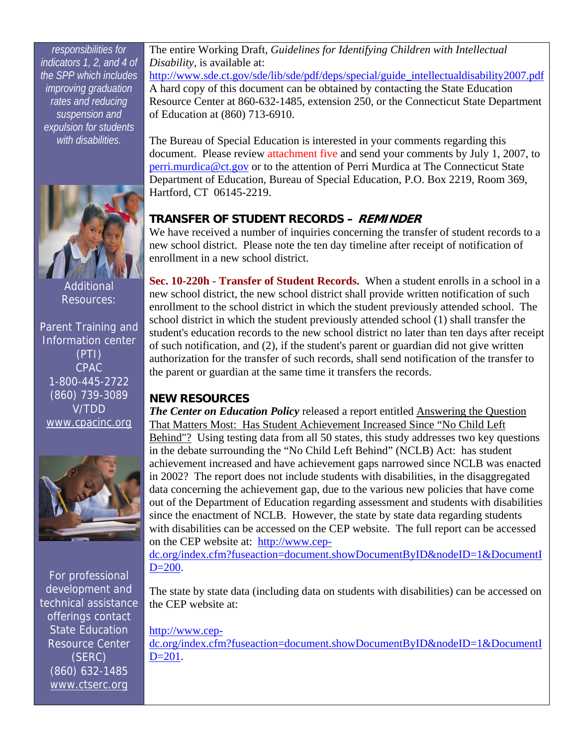<span id="page-2-0"></span>*responsibilities for indicators 1, 2, and 4 of the SPP which includes improving graduation rates and reducing suspension and expulsion for students with disabilities.*



Additional Resources:

Parent Training and Information center (PTI) CPAC 1-800-445-2722 (860) 739-3089 V/TDD [www.cpacinc.org](http://www.cpacinc.org/)



For professional development and technical assistance offerings contact State Education Resource Center (SERC) (860) 632-1485 [www.ctserc.org](http://www.ctserc.org/)

The entire Working Draft, *Guidelines for Identifying Children with Intellectual Disability*, is available at:

[http://www.sde.ct.gov/sde/lib/sde/pdf/deps/special/guide\\_intellectualdisability2007.pdf](http://www.sde.ct.gov/sde/lib/sde/pdf/deps/special/guide_intellectualdisability2007.pdf) A hard copy of this document can be obtained by contacting the State Education Resource Center at 860-632-1485, extension 250, or the Connecticut State Department of Education at (860) 713-6910.

The Bureau of Special Education is interested in your comments regarding this document. Please revie[w attachment five a](#page-9-0)nd send your comments by July 1, 2007, to [perri.murdica@ct.gov](mailto:perri.murdica@ct.gov) or to the attention of Perri Murdica at The Connecticut State Department of Education, Bureau of Special Education, P.O. Box 2219, Room 369, Hartford, CT 06145-2219.

#### **TRANSFER OF STUDENT RECORDS – REMINDER**

We have received a number of inquiries concerning the transfer of student records to a new school district. Please note the ten day timeline after receipt of notification of enrollment in a new school district.

**Sec. 10-220h - Transfer of Student Records.** When a student enrolls in a school in a new school district, the new school district shall provide written notification of such enrollment to the school district in which the student previously attended school. The school district in which the student previously attended school (1) shall transfer the student's education records to the new school district no later than ten days after receipt of such notification, and (2), if the student's parent or guardian did not give written authorization for the transfer of such records, shall send notification of the transfer to the parent or guardian at the same time it transfers the records.

#### **NEW RESOURCES**

*The Center on Education Policy* released a report entitled Answering the Question That Matters Most: Has Student Achievement Increased Since "No Child Left Behind"? Using testing data from all 50 states, this study addresses two key questions in the debate surrounding the "No Child Left Behind" (NCLB) Act: has student achievement increased and have achievement gaps narrowed since NCLB was enacted in 2002? The report does not include students with disabilities, in the disaggregated data concerning the achievement gap, due to the various new policies that have come out of the Department of Education regarding assessment and students with disabilities since the enactment of NCLB. However, the state by state data regarding students with disabilities can be accessed on the CEP website. The full report can be accessed on the CEP website at: [http://www.cep-](http://www.cep-dc.org/index.cfm?fuseaction=document.showDocumentByID&nodeID=1&DocumentID=200)

[dc.org/index.cfm?fuseaction=document.showDocumentByID&nodeID=1&DocumentI](http://www.cep-dc.org/index.cfm?fuseaction=document.showDocumentByID&nodeID=1&DocumentID=200)  $D=200$ .

The state by state data (including data on students with disabilities) can be accessed on the CEP website at:

[http://www.cep](http://www.cep-dc.org/index.cfm?fuseaction=document.showDocumentByID&nodeID=1&DocumentID=201)[dc.org/index.cfm?fuseaction=document.showDocumentByID&nodeID=1&DocumentI](http://www.cep-dc.org/index.cfm?fuseaction=document.showDocumentByID&nodeID=1&DocumentID=201)  $D=201$ .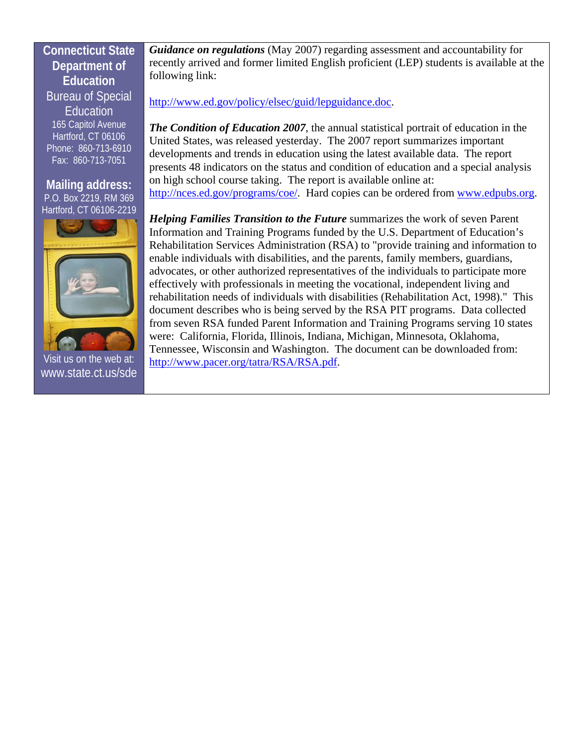#### **Connecticut State Department of Education**  Bureau of Special **Education** 165 Capitol Avenue Hartford, CT 06106 Phone: 860-713-6910 Fax: 860-713-7051

**Mailing address:**  P.O. Box 2219, RM 369 Hartford, CT 06106-2219



Visit us on the web at: [www.state.ct.us/sde](http://www.state.ct.us/sde) 

*Guidance on regulations* (May 2007) regarding assessment and accountability for recently arrived and former limited English proficient (LEP) students is available at the following link:

#### <http://www.ed.gov/policy/elsec/guid/lepguidance.doc>.

*The Condition of Education 2007*, the annual statistical portrait of education in the United States, was released yesterday. The 2007 report summarizes important developments and trends in education using the latest available data. The report presents 48 indicators on the status and condition of education and a special analysis on high school course taking. The report is available online at: <http://nces.ed.gov/programs/coe/>. Hard copies can be ordered from [www.edpubs.org](http://www.edpubs.org/).

*Helping Families Transition to the Future* summarizes the work of seven Parent Information and Training Programs funded by the U.S. Department of Education's Rehabilitation Services Administration (RSA) to "provide training and information to enable individuals with disabilities, and the parents, family members, guardians, advocates, or other authorized representatives of the individuals to participate more effectively with professionals in meeting the vocational, independent living and rehabilitation needs of individuals with disabilities (Rehabilitation Act, 1998)." This document describes who is being served by the RSA PIT programs. Data collected from seven RSA funded Parent Information and Training Programs serving 10 states were: California, Florida, Illinois, Indiana, Michigan, Minnesota, Oklahoma, Tennessee, Wisconsin and Washington. The document can be downloaded from: [http://www.pacer.org/tatra/RSA/RSA.pdf.](http://www.pacer.org/tatra/RSA/RSA.pdf)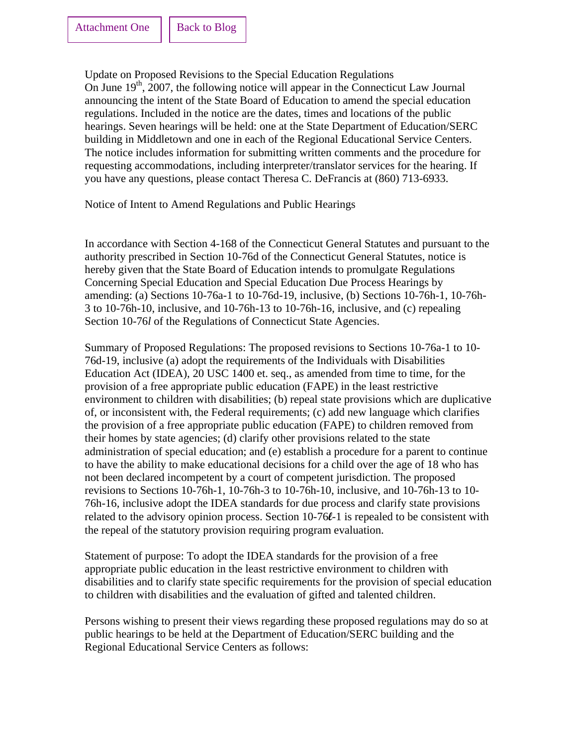<span id="page-4-0"></span>Update on Proposed Revisions to the Special Education Regulations On June  $19<sup>th</sup>$ , 2007, the following notice will appear in the Connecticut Law Journal announcing the intent of the State Board of Education to amend the special education regulations. Included in the notice are the dates, times and locations of the public hearings. Seven hearings will be held: one at the State Department of Education/SERC building in Middletown and one in each of the Regional Educational Service Centers. The notice includes information for submitting written comments and the procedure for requesting accommodations, including interpreter/translator services for the hearing. If you have any questions, please contact Theresa C. DeFrancis at (860) 713-6933.

Notice of Intent to Amend Regulations and Public Hearings

In accordance with Section 4-168 of the Connecticut General Statutes and pursuant to the authority prescribed in Section 10-76d of the Connecticut General Statutes, notice is hereby given that the State Board of Education intends to promulgate Regulations Concerning Special Education and Special Education Due Process Hearings by amending: (a) Sections 10-76a-1 to 10-76d-19, inclusive, (b) Sections 10-76h-1, 10-76h-3 to 10-76h-10, inclusive, and 10-76h-13 to 10-76h-16, inclusive, and (c) repealing Section 10-76*l* of the Regulations of Connecticut State Agencies.

Summary of Proposed Regulations: The proposed revisions to Sections 10-76a-1 to 10- 76d-19, inclusive (a) adopt the requirements of the Individuals with Disabilities Education Act (IDEA), 20 USC 1400 et. seq., as amended from time to time, for the provision of a free appropriate public education (FAPE) in the least restrictive environment to children with disabilities; (b) repeal state provisions which are duplicative of, or inconsistent with, the Federal requirements; (c) add new language which clarifies the provision of a free appropriate public education (FAPE) to children removed from their homes by state agencies; (d) clarify other provisions related to the state administration of special education; and (e) establish a procedure for a parent to continue to have the ability to make educational decisions for a child over the age of 18 who has not been declared incompetent by a court of competent jurisdiction. The proposed revisions to Sections 10-76h-1, 10-76h-3 to 10-76h-10, inclusive, and 10-76h-13 to 10- 76h-16, inclusive adopt the IDEA standards for due process and clarify state provisions related to the advisory opinion process. Section 10-76**l**-1 is repealed to be consistent with the repeal of the statutory provision requiring program evaluation.

Statement of purpose: To adopt the IDEA standards for the provision of a free appropriate public education in the least restrictive environment to children with disabilities and to clarify state specific requirements for the provision of special education to children with disabilities and the evaluation of gifted and talented children.

Persons wishing to present their views regarding these proposed regulations may do so at public hearings to be held at the Department of Education/SERC building and the Regional Educational Service Centers as follows: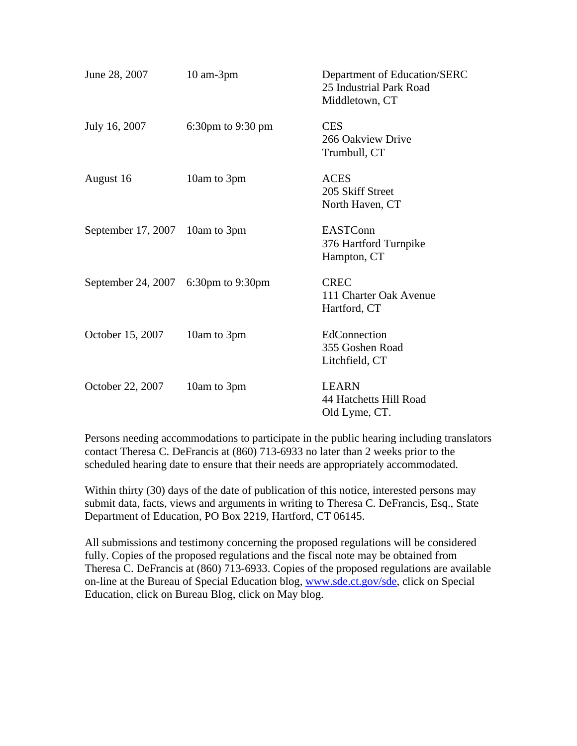| June 28, 2007                       | $10$ am- $3$ pm   | Department of Education/SERC<br>25 Industrial Park Road<br>Middletown, CT |
|-------------------------------------|-------------------|---------------------------------------------------------------------------|
| July 16, 2007                       | 6:30pm to 9:30 pm | <b>CES</b><br>266 Oakview Drive<br>Trumbull, CT                           |
| August 16                           | 10am to 3pm       | <b>ACES</b><br>205 Skiff Street<br>North Haven, CT                        |
| September 17, 2007 10am to 3pm      |                   | <b>EASTConn</b><br>376 Hartford Turnpike<br>Hampton, CT                   |
| September 24, 2007 6:30pm to 9:30pm |                   | <b>CREC</b><br>111 Charter Oak Avenue<br>Hartford, CT                     |
| October 15, 2007                    | 10am to 3pm       | EdConnection<br>355 Goshen Road<br>Litchfield, CT                         |
| October 22, 2007                    | 10am to 3pm       | <b>LEARN</b><br>44 Hatchetts Hill Road<br>Old Lyme, CT.                   |

Persons needing accommodations to participate in the public hearing including translators contact Theresa C. DeFrancis at (860) 713-6933 no later than 2 weeks prior to the scheduled hearing date to ensure that their needs are appropriately accommodated.

Within thirty (30) days of the date of publication of this notice, interested persons may submit data, facts, views and arguments in writing to Theresa C. DeFrancis, Esq., State Department of Education, PO Box 2219, Hartford, CT 06145.

All submissions and testimony concerning the proposed regulations will be considered fully. Copies of the proposed regulations and the fiscal note may be obtained from Theresa C. DeFrancis at (860) 713-6933. Copies of the proposed regulations are available on-line at the Bureau of Special Education blog, [www.sde.ct.gov/sde](http://www.sde.ct.gov/sde), click on Special Education, click on Bureau Blog, click on May blog.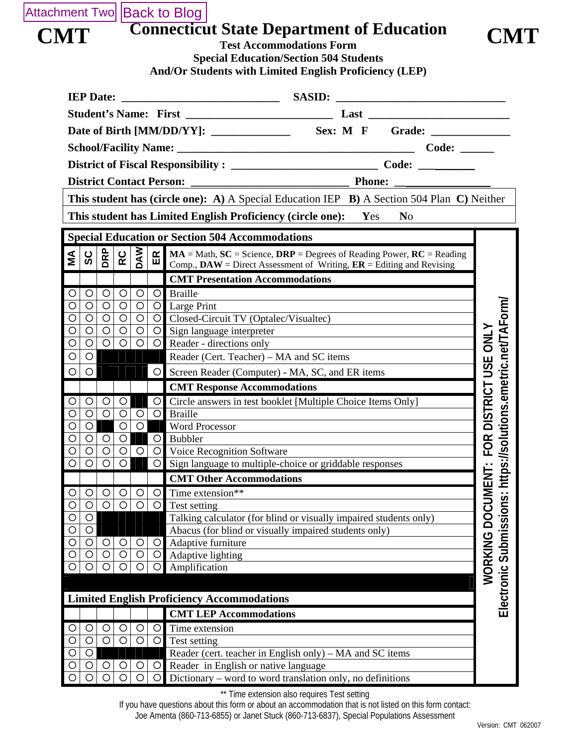### <span id="page-6-0"></span>Attachment Two [Back to Blog](#page-1-0)

|            | <b>Connecticut State Department of Education</b> |            |
|------------|--------------------------------------------------|------------|
| <b>CMT</b> | <b>Test Accommodations Form</b>                  | <b>CMT</b> |



**Special Education/Section 504 Students And/Or Students with Limited English Proficiency (LEP)** 

|                                                                                            | <b>IEP Date:</b>                                 |                |                |         | <b>SASID:</b>                                                                       |                                      |  |
|--------------------------------------------------------------------------------------------|--------------------------------------------------|----------------|----------------|---------|-------------------------------------------------------------------------------------|--------------------------------------|--|
|                                                                                            |                                                  |                |                |         |                                                                                     |                                      |  |
| Sex: M F Grade:                                                                            |                                                  |                |                |         |                                                                                     |                                      |  |
| Code:                                                                                      |                                                  |                |                |         |                                                                                     |                                      |  |
|                                                                                            |                                                  |                |                |         |                                                                                     |                                      |  |
|                                                                                            |                                                  |                |                |         |                                                                                     |                                      |  |
|                                                                                            | <b>District Contact Person:</b><br><b>Phone:</b> |                |                |         |                                                                                     |                                      |  |
| This student has (circle one): A) A Special Education IEP B) A Section 504 Plan C) Neither |                                                  |                |                |         |                                                                                     |                                      |  |
|                                                                                            |                                                  |                |                |         | This student has Limited English Proficiency (circle one):<br>N <sub>o</sub><br>Yes |                                      |  |
|                                                                                            |                                                  |                |                |         | <b>Special Education or Section 504 Accommodations</b>                              |                                      |  |
|                                                                                            | DRP                                              | RC             |                | E       | $MA = Math, SC = Science, DRP = Degrees$ of Reading Power, $RC = Reading$           |                                      |  |
| ΜA                                                                                         | ပ္တ                                              |                | <b>MAQ</b>     |         | Comp., $\bf{DAW}$ = Direct Assessment of Writing, $\bf{ER}$ = Editing and Revising  |                                      |  |
|                                                                                            |                                                  |                |                |         | <b>CMT Presentation Accommodations</b>                                              |                                      |  |
| $\circ$                                                                                    | $\circ$<br>$\circ$                               | $\circ$        | O              | $\circ$ | <b>Braille</b>                                                                      |                                      |  |
| $\circ$                                                                                    | $\circ$<br>O                                     | $\circ$        | $\circ$        |         | O Large Print                                                                       |                                      |  |
| $\circ$                                                                                    | $\circ$<br>O                                     | $\circ$        | $\circ$        |         | O Closed-Circuit TV (Optalec/Visualtec)                                             |                                      |  |
| $\circ$                                                                                    | $\circ$<br>$\circ$                               | $\circ$        | $\circ$        | $\circ$ | Sign language interpreter                                                           |                                      |  |
| $\circ$                                                                                    | $\circ$<br>O                                     | $\circ$        | O              | O.      | UMENT: FOR DISTRICT USE ONLY<br>Reader - directions only                            |                                      |  |
| $\circ$                                                                                    | $\circ$                                          |                |                |         | Reader (Cert. Teacher) - MA and SC items                                            |                                      |  |
| $\circ$                                                                                    | $\circ$                                          |                |                | $\circ$ | Screen Reader (Computer) - MA, SC, and ER items                                     | https://solutions.emetric.net/TAForm |  |
|                                                                                            |                                                  |                |                |         | <b>CMT Response Accommodations</b>                                                  |                                      |  |
| $\circ$                                                                                    | $\circ$<br>$\circ$                               | $\bigcirc$     |                | $\circ$ | Circle answers in test booklet [Multiple Choice Items Only]                         |                                      |  |
| $\circ$                                                                                    | $\circ$<br>$\circ$                               | $\circ$        | $\circ$        | $\circ$ | <b>Braille</b>                                                                      |                                      |  |
| $\circ$                                                                                    | O                                                | $\circ$        | $\circ$        |         | <b>Word Processor</b>                                                               |                                      |  |
| $\circ$                                                                                    | $\circ$<br>$\circ$                               | $\circ$        |                | $\circ$ | Bubbler                                                                             |                                      |  |
| $\circ$                                                                                    | O<br>O                                           | $\circ$        | $\circ$        | $\circ$ | Voice Recognition Software                                                          |                                      |  |
| $\overline{O}$                                                                             | $\circ$<br>$\circ$                               | $\circ$        |                | $\circ$ | Sign language to multiple-choice or griddable responses                             |                                      |  |
|                                                                                            |                                                  |                |                |         | <b>CMT Other Accommodations</b>                                                     |                                      |  |
| $\circ$                                                                                    | $\circ$<br>$\circ$                               | $\circ$        | $\circ$        |         | $\overline{O}$ Time extension**                                                     | $\dot{\mathbf{c}}$                   |  |
|                                                                                            | $\overline{O}$<br>$\bigcirc$                     | $\overline{O}$ | $\overline{O}$ |         | O Test setting                                                                      |                                      |  |
| $\circ$                                                                                    | O                                                |                |                |         | Talking calculator (for blind or visually impaired students only)                   |                                      |  |
| O<br>$\circ$                                                                               | O<br>$\circ$<br>O                                | O              | O              | $\circ$ | Abacus (for blind or visually impaired students only)<br>Adaptive furniture         |                                      |  |
| O                                                                                          | $\circ$<br>O                                     | $\circ$        | $\circ$        | O       | Adaptive lighting                                                                   |                                      |  |
| $\circ$                                                                                    | $\circ$<br>$\circ$                               | $\bigcirc$     | $\circ$        | $\circ$ | Amplification                                                                       |                                      |  |
|                                                                                            |                                                  |                |                |         |                                                                                     | WORKING DOC                          |  |
| <b>Limited English Proficiency Accommodations</b>                                          |                                                  |                |                |         | Electronic Submissio                                                                |                                      |  |
|                                                                                            |                                                  |                |                |         | <b>CMT LEP Accommodations</b>                                                       |                                      |  |
|                                                                                            | $\circ$<br>$\circ$                               | $\circ$        | O              | O       | Time extension                                                                      |                                      |  |
| $\circ$                                                                                    | $\circ$<br>O                                     | $\bigcirc$     | $\circ$        | $\circ$ | Test setting                                                                        |                                      |  |
| $\circ$                                                                                    | O                                                |                |                |         | Reader (cert. teacher in English only) – MA and SC items                            |                                      |  |
| O                                                                                          | $\circ$<br>O                                     | $\circ$        | O              | O       | Reader in English or native language                                                |                                      |  |
|                                                                                            | $\circ$                                          | ∩              | O              |         | Dictionary - word to word translation only, no definitions                          |                                      |  |

\*\* Time extension also requires Test setting

If you have questions about this form or about an accommodation that is not listed on this form contact:

Joe Amenta (860-713-6855) or Janet Stuck (860-713-6837), Special Populations Assessment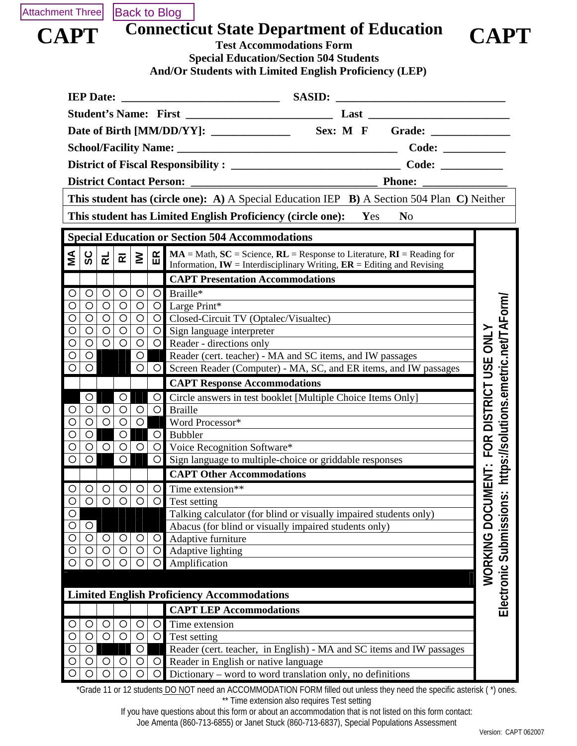<span id="page-7-0"></span>

## **CAPT** Connecticut State Department of Education **CAPT** Test Accommodations Form



|                            |                                                                                                                                                                                                                      |                                 |                                      |                     | <b>IEP Date:</b>   |                    |                    |
|----------------------------|----------------------------------------------------------------------------------------------------------------------------------------------------------------------------------------------------------------------|---------------------------------|--------------------------------------|---------------------|--------------------|--------------------|--------------------|
|                            |                                                                                                                                                                                                                      |                                 |                                      |                     |                    |                    |                    |
|                            |                                                                                                                                                                                                                      |                                 |                                      |                     |                    |                    |                    |
|                            |                                                                                                                                                                                                                      |                                 |                                      |                     |                    |                    |                    |
|                            |                                                                                                                                                                                                                      |                                 |                                      |                     |                    |                    |                    |
|                            |                                                                                                                                                                                                                      |                                 |                                      |                     |                    |                    |                    |
|                            | <b>Phone:</b>                                                                                                                                                                                                        | <b>District Contact Person:</b> |                                      |                     |                    |                    |                    |
|                            | This student has (circle one): A) A Special Education IEP B) A Section 504 Plan C) Neither                                                                                                                           |                                 |                                      |                     |                    |                    |                    |
|                            | This student has Limited English Proficiency (circle one): Yes<br>N <sub>0</sub>                                                                                                                                     |                                 |                                      |                     |                    |                    |                    |
|                            | <b>Special Education or Section 504 Accommodations</b>                                                                                                                                                               |                                 |                                      |                     |                    |                    |                    |
|                            |                                                                                                                                                                                                                      |                                 |                                      |                     |                    |                    |                    |
|                            | $\underbrace{\mathbf{M}}$ MA = Math, SC = Science, RL = Response to Literature, RI = Reading for<br>Information, $\mathbf{I} \mathbf{W}$ = Interdisciplinary Writing, $\mathbf{E} \mathbf{R}$ = Editing and Revising |                                 | $\overline{\mathbf{r}}$ $\ge$ $\mid$ |                     | <b>RL</b>          | ပ္တိ               | ŹΣ                 |
|                            | <b>CAPT Presentation Accommodations</b>                                                                                                                                                                              |                                 |                                      |                     |                    |                    |                    |
|                            |                                                                                                                                                                                                                      | $\bigcirc$<br>Braille*          | $\circ$                              | $\circ$             | $\circ$            | $\circ$            | O                  |
| utions.emetric.net/TAForm/ |                                                                                                                                                                                                                      | $\overline{O}$ Large Print*     | $\circ$                              | $\circlearrowright$ | $\circ$            | $\bigcirc$         | Ó                  |
|                            | O Closed-Circuit TV (Optalec/Visualtec)                                                                                                                                                                              |                                 | $\circ$                              | $\circ$             | $\circ$            | $\bigcirc$         | O                  |
|                            | Sign language interpreter<br><u> 1989 - Andrea Stadt Britain, fransk politik (</u>                                                                                                                                   | $\circ$                         | $\circ$                              | $\circ$             | $\bigcirc$         | $\bigcirc$         | O                  |
|                            | O Reader - directions only                                                                                                                                                                                           |                                 | $\circ$                              | $\circ$             | $\circ$            | $\circ$            | $\circ$            |
|                            | Reader (cert. teacher) - MA and SC items, and IW passages                                                                                                                                                            |                                 | $\circ$                              |                     |                    | $\circ$            | O                  |
|                            | O   O   Screen Reader (Computer) - MA, SC, and ER items, and IW passages                                                                                                                                             |                                 |                                      |                     |                    | $\circ$            | $\overline{\circ}$ |
| DISTRICT USE ONLY          | <b>CAPT Response Accommodations</b>                                                                                                                                                                                  |                                 |                                      |                     |                    |                    |                    |
|                            | Circle answers in test booklet [Multiple Choice Items Only]                                                                                                                                                          | $\bigcirc$                      |                                      | $\circ$             |                    | $\circ$            |                    |
|                            |                                                                                                                                                                                                                      | $\circ$<br><b>Braille</b>       | $\circ$                              | $\circ$             | $\circ$            | $\circ$            |                    |
|                            | Word Processor*                                                                                                                                                                                                      |                                 | $\circ$                              | $\circ$             | $\bigcirc$         | $\circ$            | Ó                  |
|                            |                                                                                                                                                                                                                      | Bubbler<br>$\circ$              |                                      | $\bigcirc$          |                    | $\circ$            | O                  |
| FOR                        | Voice Recognition Software*                                                                                                                                                                                          | $\circ$                         | $\circ$                              | $\circ$             | $\circ$            | $\bigcirc$         | O                  |
| https://sol                | Sign language to multiple-choice or griddable responses                                                                                                                                                              | $\circ$                         |                                      | $\circ$             |                    | $\circ$            | O                  |
|                            | <b>CAPT Other Accommodations</b>                                                                                                                                                                                     |                                 |                                      |                     |                    |                    |                    |
|                            | Time extension**                                                                                                                                                                                                     | O<br>$\circ$                    | O<br>$\circ$                         | $\circ$<br>$\circ$  | $\circ$<br>$\circ$ | $\circ$<br>$\circ$ | O<br>O             |
|                            | Talking calculator (for blind or visually impaired students only)                                                                                                                                                    | Test setting                    |                                      |                     |                    |                    | $\circ$            |
| Submissions:               | Abacus (for blind or visually impaired students only)                                                                                                                                                                |                                 |                                      |                     |                    | $\bigcirc$         | O                  |
|                            | Adaptive furniture                                                                                                                                                                                                   | $\bigcirc$                      | $\circ$                              | $\bigcirc$          | $\circ$            | $\circ$            | O                  |
|                            | Adaptive lighting                                                                                                                                                                                                    | $\circ$                         | $\circ$                              | $\circ$             | $\circ$            | $\circ$            | O                  |
|                            |                                                                                                                                                                                                                      | Amplification<br>$\circ$        | $\circ$                              | $\circ$             | $\circ$            | $\circ$            | Ō                  |
| WORKING DOCUMENT           |                                                                                                                                                                                                                      |                                 |                                      |                     |                    |                    |                    |
| Electronic                 | <b>Limited English Proficiency Accommodations</b>                                                                                                                                                                    |                                 |                                      |                     |                    |                    |                    |
|                            | <b>CAPT LEP Accommodations</b>                                                                                                                                                                                       |                                 |                                      |                     |                    |                    |                    |
|                            |                                                                                                                                                                                                                      | $\circ$<br>Time extension       | O                                    | $\circ$             | $\circ$            | O                  | O                  |
|                            |                                                                                                                                                                                                                      | $\circ$<br>Test setting         | $\circ$                              | $\circ$             | $\circ$            | $\circ$            | O                  |
|                            | Reader (cert. teacher, in English) - MA and SC items and IW passages                                                                                                                                                 |                                 | $\circ$                              |                     |                    | $\bigcirc$         | Ο                  |
|                            | Reader in English or native language<br>Dictionary – word to word translation only, no definitions                                                                                                                   | $\circ$                         | $\circ$                              | $\circ$             | $\circ$            | $\circ$            | O                  |
|                            |                                                                                                                                                                                                                      | $\circ$                         | $\circ$                              | $\circ$             | $\circ$            | $\circ$            |                    |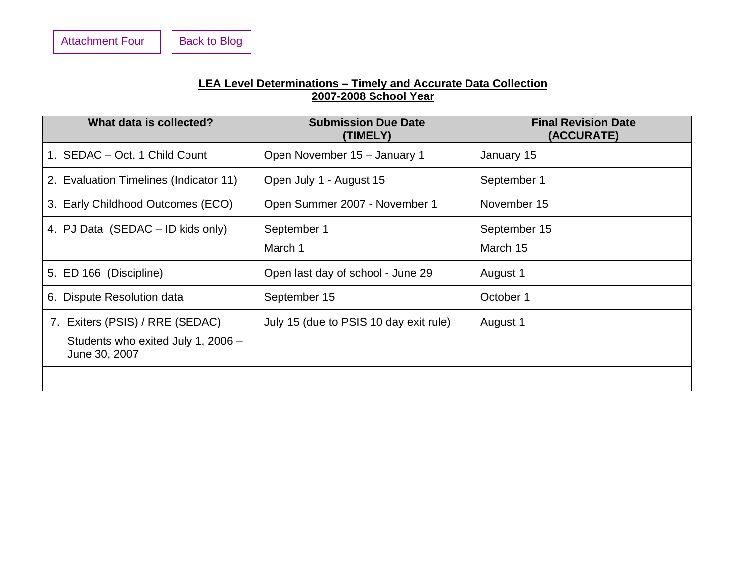#### **LEA Level Determinations – Timely and Accurate Data Collection 2007-2008 School Year**

<span id="page-8-0"></span>

| What data is collected?                                                                | <b>Submission Due Date</b><br>(TIMELY) | <b>Final Revision Date</b><br>(ACCURATE) |
|----------------------------------------------------------------------------------------|----------------------------------------|------------------------------------------|
| 1. SEDAC - Oct. 1 Child Count                                                          | Open November 15 - January 1           | January 15                               |
| 2. Evaluation Timelines (Indicator 11)                                                 | Open July 1 - August 15                | September 1                              |
| 3. Early Childhood Outcomes (ECO)                                                      | Open Summer 2007 - November 1          | November 15                              |
| 4. PJ Data (SEDAC – ID kids only)                                                      | September 1<br>March 1                 | September 15<br>March 15                 |
| 5. ED 166 (Discipline)                                                                 | Open last day of school - June 29      | August 1                                 |
| 6. Dispute Resolution data                                                             | September 15                           | October 1                                |
| 7. Exiters (PSIS) / RRE (SEDAC)<br>Students who exited July 1, 2006 -<br>June 30, 2007 | July 15 (due to PSIS 10 day exit rule) | August 1                                 |